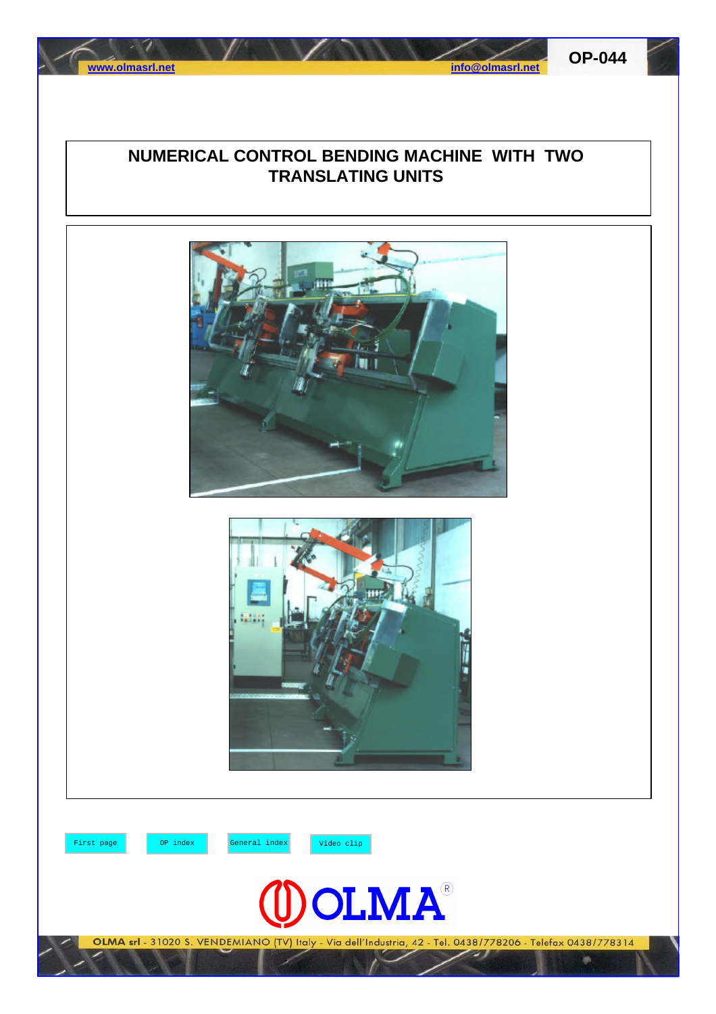



## **NUMERICAL CONTROL BENDING MACHINE WITH TWO TRANSLATING UNITS**





First page OP index General index Video clip



OLMA srl - 31020 S. VENDEMIANO (TV) Italy - Via dell'Industria, 42 - Tel. 0438/778206 - Telefax 0438/778314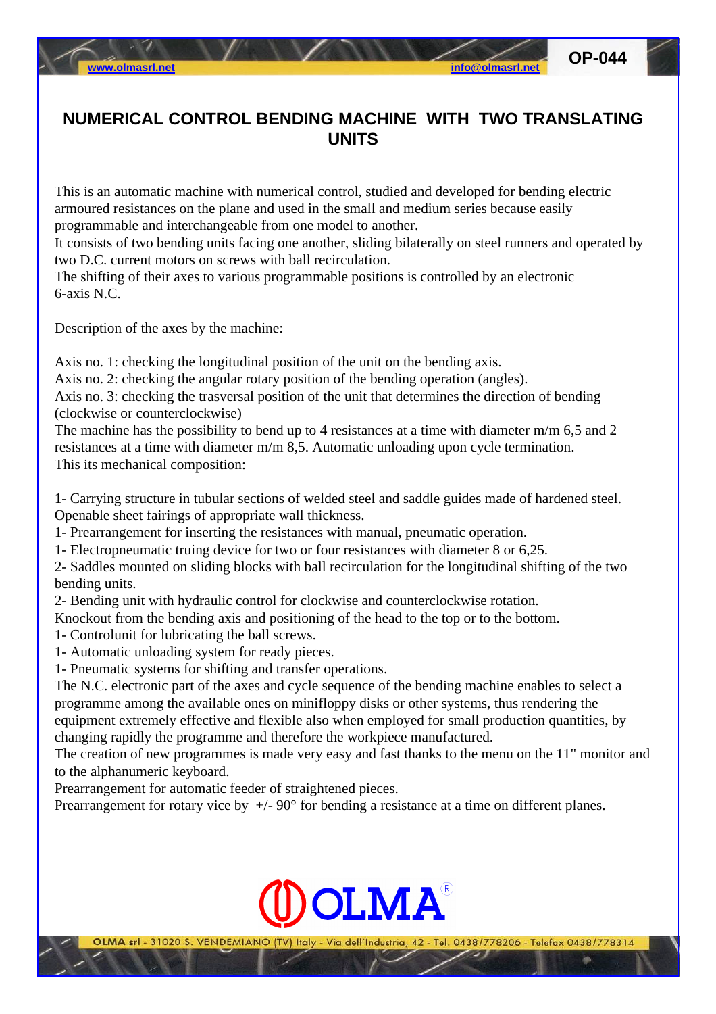## **NUMERICAL CONTROL BENDING MACHINE WITH TWO TRANSLATING UNITS**

This is an automatic machine with numerical control, studied and developed for bending electric armoured resistances on the plane and used in the small and medium series because easily programmable and interchangeable from one model to another.

It consists of two bending units facing one another, sliding bilaterally on steel runners and operated by two D.C. current motors on screws with ball recirculation.

The shifting of their axes to various programmable positions is controlled by an electronic 6-axis N.C.

Description of the axes by the machine:

Axis no. 1: checking the longitudinal position of the unit on the bending axis.

Axis no. 2: checking the angular rotary position of the bending operation (angles).

Axis no. 3: checking the trasversal position of the unit that determines the direction of bending (clockwise or counterclockwise)

The machine has the possibility to bend up to 4 resistances at a time with diameter m/m 6,5 and 2 resistances at a time with diameter m/m 8,5. Automatic unloading upon cycle termination. This its mechanical composition:

1- Carrying structure in tubular sections of welded steel and saddle guides made of hardened steel. Openable sheet fairings of appropriate wall thickness.

1- Prearrangement for inserting the resistances with manual, pneumatic operation.

1- Electropneumatic truing device for two or four resistances with diameter 8 or 6,25.

2- Saddles mounted on sliding blocks with ball recirculation for the longitudinal shifting of the two bending units.

2- Bending unit with hydraulic control for clockwise and counterclockwise rotation.

Knockout from the bending axis and positioning of the head to the top or to the bottom.

- 1- Controlunit for lubricating the ball screws.
- 1- Automatic unloading system for ready pieces.

1- Pneumatic systems for shifting and transfer operations.

The N.C. electronic part of the axes and cycle sequence of the bending machine enables to select a programme among the available ones on minifloppy disks or other systems, thus rendering the equipment extremely effective and flexible also when employed for small production quantities, by changing rapidly the programme and therefore the workpiece manufactured.

The creation of new programmes is made very easy and fast thanks to the menu on the 11" monitor and to the alphanumeric keyboard.

Prearrangement for automatic feeder of straightened pieces.

Prearrangement for rotary vice by  $+/-90^{\circ}$  for bending a resistance at a time on different planes.